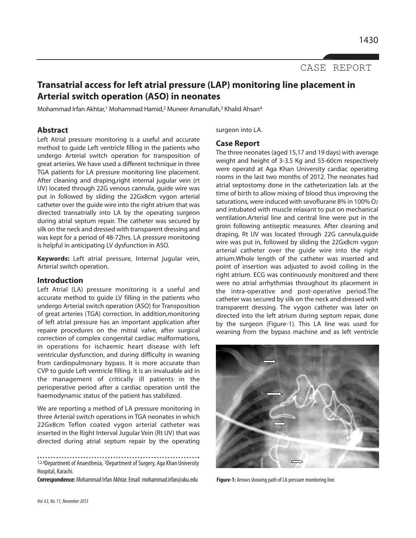CASE REPORT

# **Transatrial access for left atrial pressure (LAP) monitoring line placement in Arterial switch operation (ASO) in neonates**

Mohammad Irfan Akhtar,<sup>1</sup> Mohammad Hamid,<sup>2</sup> Muneer Amanullah,<sup>3</sup> Khalid Ahsan<sup>4</sup>

# **Abstract**

Left Atrial pressure monitoring is a useful and accurate method to guide Left ventricle filling in the patients who undergo Arterial switch operation for transposition of great arteries. We have used a different technique in three TGA patients for LA pressure monitoring line placement. After cleaning and draping,right internal jugular vein (rt IJV) located through 22G venous cannula, guide wire was put in followed by sliding the 22Gx8cm vygon arterial catheter over the guide wire into the right atrium that was directed transatrially into LA by the operating surgeon during atrial septum repair. The catheter was secured by silk on the neck and dressed with transparent dressing and was kept for a period of 48-72hrs. LA pressure monitoring is helpful in anticipating LV dysfunction in ASO.

**Keywords:** Left atrial pressure, Internal jugular vein, Arterial switch operation.

## **Introduction**

Left Atrial (LA) pressure monitoring is a useful and accurate method to guide LV filling in the patients who undergo Arterial switch operation (ASO) for Transposition of great arteries (TGA) correction. In addition,monitoring of left atrial pressure has an important application after repaire procedures on the mitral valve, after surgical correction of complex congenital cardiac malformations, in operations for ischaemic heart disease with left ventricular dysfunction, and during difficulty in weaning from cardiopulmonary bypass. It is more accurate than CVP to guide Left ventricle filling. It is an invaluable aid in the management of critically ill patients in the perioperative period after a cardiac operation until the haemodynamic status of the patient has stabilized.

We are reporting a method of LA pressure monitoring in three Arterial switch operations in TGA neonates in which 22Gx8cm Teflon coated vygon arterial catheter was inserted in the Right Interval Jugular Vein (Rt IJV) that was directed during atrial septum repair by the operating

1,2,4Department of Anaesthesia, <sup>3</sup>Department of Surgery, Aga Khan University Hospital, Karachi.

**Correspondence:**Mohammad Irfan Akhtar. Email: mohammad.irfan@aku.edu **Figure-1:** Arrows showing path of LA pressure monitoring line.

surgeon into LA.

## **Case Report**

The three neonates (aged 15,17 and 19 days) with average weight and height of 3-3.5 Kg and 55-60cm respectively were operatd at Aga Khan University cardiac operating rooms in the last two months of 2012. The neonates had atrial septostomy done in the catheterization lab. at the time of birth to allow mixing of blood thus improving the saturations, were induced with sevoflurane 8% in 100% O<sup>2</sup> and intubated with muscle relaxant to put on mechanical ventilation.Arterial line and central line were put in the groin following antiseptic measures. After cleaning and draping, Rt IJV was located through 22G cannula,guide wire was put in, followed by sliding the 22Gx8cm vygon arterial catheter over the guide wire into the right atrium.Whole length of the catheter was inserted and point of insertion was adjusted to avoid coiling in the right atrium. ECG was continuously monitored and there were no atrial arrhythmias throughout its placement in the intra-operative and post-operative period.The catheter was secured by silk on the neck and dressed with transparent dressing. The vygon catheter was later on directed into the left atrium during septum repair, done by the surgeon (Figure-1). This LA line was used for weaning from the bypass machine and as left ventricle

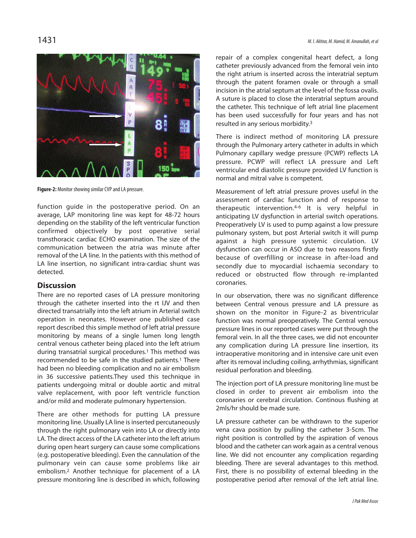

**Figure-2:** Monitor showing similar CVP and LA pressure.

function guide in the postoperative period. On an average, LAP monitoring line was kept for 48-72 hours depending on the stability of the left ventricular function confirmed objectively by post operative serial transthoracic cardiac ECHO examination. The size of the communication between the atria was minute after removal of the LA line. In the patients with this method of LA line insertion, no significant intra-cardiac shunt was detected.

## **Discussion**

There are no reported cases of LA pressure monitoring through the catheter inserted into the rt IJV and then directed transatrially into the left atrium in Arterial switch operation in neonates. However one published case report described this simple method of left atrial pressure monitoring by means of a single lumen long length central venous catheter being placed into the left atrium during transatrial surgical procedures.<sup>1</sup> This method was recommended to be safe in the studied patients.<sup>1</sup> There had been no bleeding complication and no air embolism in 36 successive patients.They used this technique in patients undergoing mitral or double aortic and mitral valve replacement, with poor left ventricle function and/or mild and moderate pulmonary hypertension.

There are other methods for putting LA pressure monitoring line. Usually LA line is inserted percutaneously through the right pulmonary vein into LA or directly into LA. The direct access of the LA catheter into the left atrium during open heart surgery can cause some complications (e.g. postoperative bleeding). Even the cannulation of the pulmonary vein can cause some problems like air embolism.<sup>2</sup> Another technique for placement of a LA pressure monitoring line is described in which, following repair of a complex congenital heart defect, a long catheter previously advanced from the femoral vein into the right atrium is inserted across the interatrial septum through the patent foramen ovale or through a small incision in the atrial septum at the level of the fossa ovalis. A suture is placed to close the interatrial septum around the catheter. This technique of left atrial line placement has been used successfully for four years and has not resulted in any serious morbidity.<sup>3</sup>

There is indirect method of monitoring LA pressure through the Pulmonary artery catheter in adults in which Pulmonary capillary wedge pressure (PCWP) reflects LA pressure. PCWP will reflect LA pressure and Left ventricular end diastolic pressure provided LV function is normal and mitral valve is competent.

Measurement of left atrial pressure proves useful in the assessment of cardiac function and of response to therapeutic intervention.4-6 It is very helpful in anticipating LV dysfunction in arterial switch operations. Preoperatively LV is used to pump against a low pressure pulmonary system, but post Arterial switch it will pump against a high pressure systemic circulation. LV dysfunction can occur in ASO due to two reasons firstly because of overfilling or increase in after-load and secondly due to myocardial ischaemia secondary to reduced or obstructed flow through re-implanted coronaries.

In our observation, there was no significant difference between Central venous pressure and LA pressure as shown on the monitor in Figure-2 as biventricular function was normal preoperatively. The Central venous pressure lines in our reported cases were put through the femoral vein. In all the three cases, we did not encounter any complication during LA pressure line insertion, its intraoperative monitoring and in intensive care unit even after its removal including coiling, arrhythmias, significant residual perforation and bleeding.

The injection port of LA pressure monitoring line must be closed in order to prevent air embolism into the coronaries or cerebral circulation. Continous flushing at 2mls/hr should be made sure.

LA pressure catheter can be withdrawn to the superior vena cava position by pulling the catheter 3-5cm. The right position is controlled by the aspiration of venous blood and the catheter can work again as a central venous line. We did not encounter any complication regarding bleeding. There are several advantages to this method. First, there is no possibility of external bleeding in the postoperative period after removal of the left atrial line.